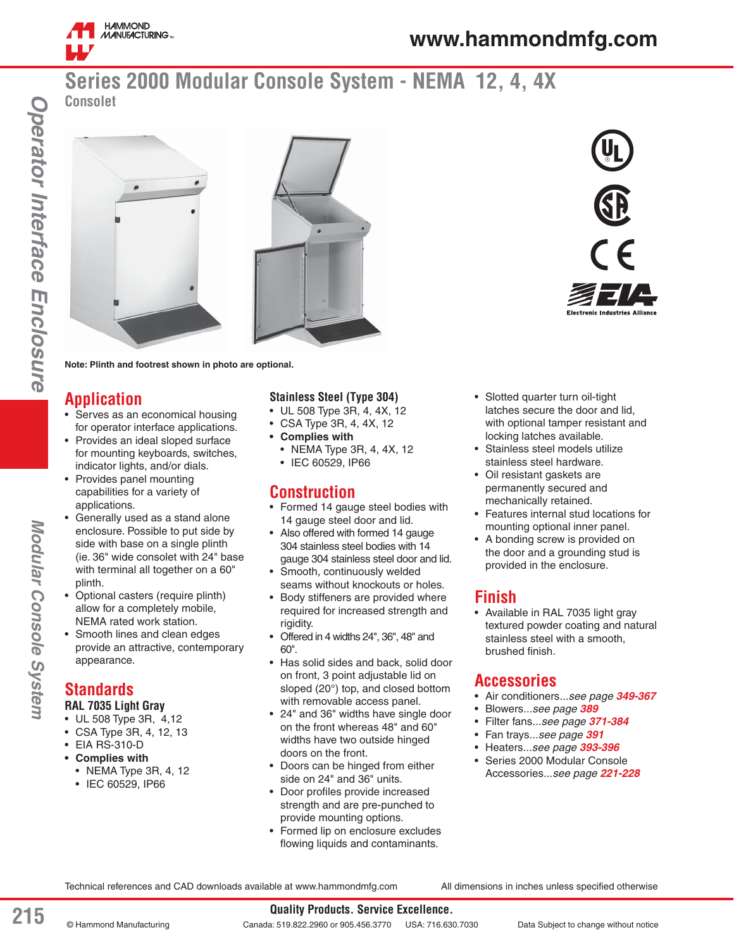

# **Series 2000 Modular Console System - NEMA 12, 4, 4X Consolet**





**Note: Plinth and footrest shown in photo are optional.**

# **Application**

- Serves as an economical housing for operator interface applications.
- Provides an ideal sloped surface for mounting keyboards, switches, indicator lights, and/or dials.
- Provides panel mounting capabilities for a variety of applications.
- Generally used as a stand alone enclosure. Possible to put side by side with base on a single plinth (ie. 36" wide consolet with 24" base with terminal all together on a 60" plinth.
- Optional casters (require plinth) allow for a completely mobile, NEMA rated work station.
- Smooth lines and clean edges provide an attractive, contemporary appearance.

# **Standards**

Modular Console System

#### **RAL 7035 Light Gray**

- UL 508 Type 3R, 4,12
- CSA Type 3R, 4, 12, 13
- EIA RS-310-D
- **Complies with**
	- NEMA Type 3R, 4, 12
	- IEC 60529, IP66

#### **Stainless Steel (Type 304)**

- UL 508 Type 3R, 4, 4X, 12
- CSA Type 3R, 4, 4X, 12
- **Complies with** • NEMA Type 3R, 4, 4X, 12
	- IEC 60529, IP66

## **Construction**

- Formed 14 gauge steel bodies with 14 gauge steel door and lid.
- Also offered with formed 14 gauge 304 stainless steel bodies with 14 gauge 304 stainless steel door and lid.
- Smooth, continuously welded seams without knockouts or holes.
- Body stiffeners are provided where required for increased strength and rigidity.
- Offered in 4 widths 24", 36", 48" and 60".
- Has solid sides and back, solid door on front, 3 point adjustable lid on sloped (20°) top, and closed bottom with removable access panel.
- 24" and 36" widths have single door on the front whereas 48" and 60" widths have two outside hinged doors on the front.
- Doors can be hinged from either side on 24" and 36" units.
- Door profiles provide increased strength and are pre-punched to provide mounting options.
- Formed lip on enclosure excludes flowing liquids and contaminants.
- Slotted quarter turn oil-tight latches secure the door and lid, with optional tamper resistant and locking latches available.
- Stainless steel models utilize stainless steel hardware.
- Oil resistant gaskets are permanently secured and mechanically retained.
- Features internal stud locations for mounting optional inner panel.
- A bonding screw is provided on the door and a grounding stud is provided in the enclosure.

## **Finish**

• Available in RAL 7035 light gray textured powder coating and natural stainless steel with a smooth, brushed finish.

## **Accessories**

- Air conditioners*...see page 349-367*
- Blowers*...see page 389*
- Filter fans*...see page 371-384*
- Fan trays*...see page 391*
- Heaters*...see page 393-396*
- Series 2000 Modular Console Accessories*...see page 221-228*

Technical references and CAD downloads available at www.hammondmfg.com All dimensions in inches unless specified otherwise